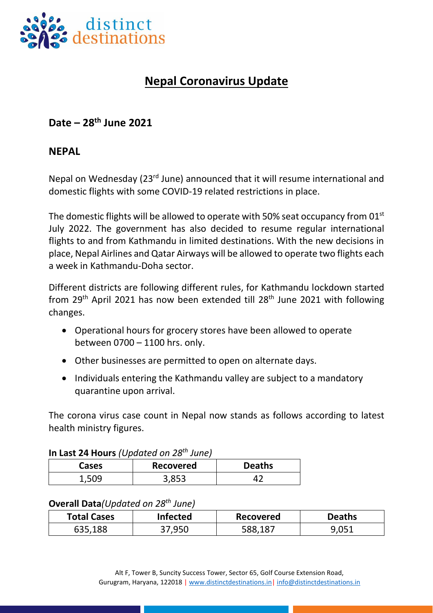

# **Nepal Coronavirus Update**

## **Date – 28th June 2021**

#### **NEPAL**

Nepal on Wednesday (23rd June) announced that it will resume international and domestic flights with some COVID-19 related restrictions in place.

The domestic flights will be allowed to operate with 50% seat occupancy from 01<sup>st</sup> July 2022. The government has also decided to resume regular international flights to and from Kathmandu in limited destinations. With the new decisions in place, Nepal Airlines and Qatar Airways will be allowed to operate two flights each a week in Kathmandu-Doha sector.

Different districts are following different rules, for Kathmandu lockdown started from  $29<sup>th</sup>$  April 2021 has now been extended till 28<sup>th</sup> June 2021 with following changes.

- Operational hours for grocery stores have been allowed to operate between 0700 – 1100 hrs. only.
- Other businesses are permitted to open on alternate days.
- Individuals entering the Kathmandu valley are subject to a mandatory quarantine upon arrival.

The corona virus case count in Nepal now stands as follows according to latest health ministry figures.

|              | <b>In Last 24 Hours</b> (Updated on 28" June) |               |  |  |  |
|--------------|-----------------------------------------------|---------------|--|--|--|
| <b>Cases</b> | <b>Recovered</b>                              | <b>Deaths</b> |  |  |  |
| 1.509        | 3,853                                         |               |  |  |  |

### **In Last 24 Hours** *(Updated on 28 th June)*

#### **Overall Data***(Updated on 28 th June)*

| <b>Total Cases</b> | <b>Infected</b> | <b>Recovered</b> | <b>Deaths</b> |
|--------------------|-----------------|------------------|---------------|
| 635,188            | 37,950          | 588,187          | ∴∩ ∩ت         |